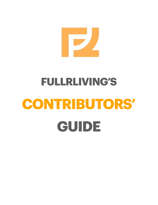# 

# **FULLRLIVING'S CONTRIBUTORS' GUIDE**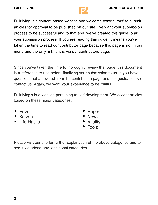

Fullrliving is a content based website and welcome contributors' to submit articles for approval to be published on our site. We want your submission process to be successful and to that end, we've created this guide to aid your submission process. If you are reading this guide, it means you've taken the time to read our contributor page because this page is not in our menu and the only link to it is via our contributors page.

Since you've taken the time to thoroughly review that page, this document is a reference to use before finalizing your submission to us. If you have questions not answered from the contribution page and this guide, please contact us. Again, we want your experience to be fruitful.

Fullrliving's is a website pertaining to self-development. We accept articles based on these major categories:

- Envo
- Kaizen
- Life Hacks
- **Paper**
- Newz
- **Vitality**
- Toolz

Please visit our site for further explanation of the above categories and to see if we added any additional categories.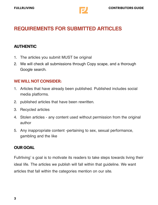

# **REQUIREMENTS FOR SUBMITTED ARTICLES**

#### **AUTHENTIC**

- 1. The articles you submit MUST be original
- 2. We will check all submissions through Copy scape, and a thorough Google search.

#### **WE WILL NOT CONSIDER:**

- 1. Articles that have already been published. Published includes social media platforms.
- 2. published articles that have been rewritten.
- 3. Recycled articles
- 4. Stolen articles any content used without permission from the original author
- 5. Any inappropriate content -pertaining to sex, sexual performance, gambling and the like

#### **OUR GOAL**

Fullrliving' s goal is to motivate its readers to take steps towards living their ideal life. The articles we publish will fall within that guideline. We want articles that fall within the categories mention on our site.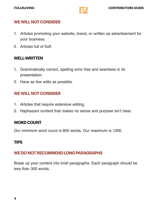

### **WE WILL NOT CONSIDER**

- 1. Articles promoting your website, brand, or written as advertisement for your business.
- 2. Articles full of fluff.

# **WELL-WRITTEN**

- 1. Grammatically correct, spelling error free and seamless in its presentation.
- 2. Have as few edits as possible.

# **WE WILL NOT CONSIDER**

- 1. Articles that require extensive editing.
- 2. Haphazard content that makes no sense and purpose isn't clear.

# **WORD COUNT**

Our minimum word count is 800 words. Our maximum is 1200.

# **TIPS**

# **WE DO NOT RECOMMEND LONG PARAGRAPHS**

Break up your content into brief paragraphs. Each paragraph should be less than 300 words.